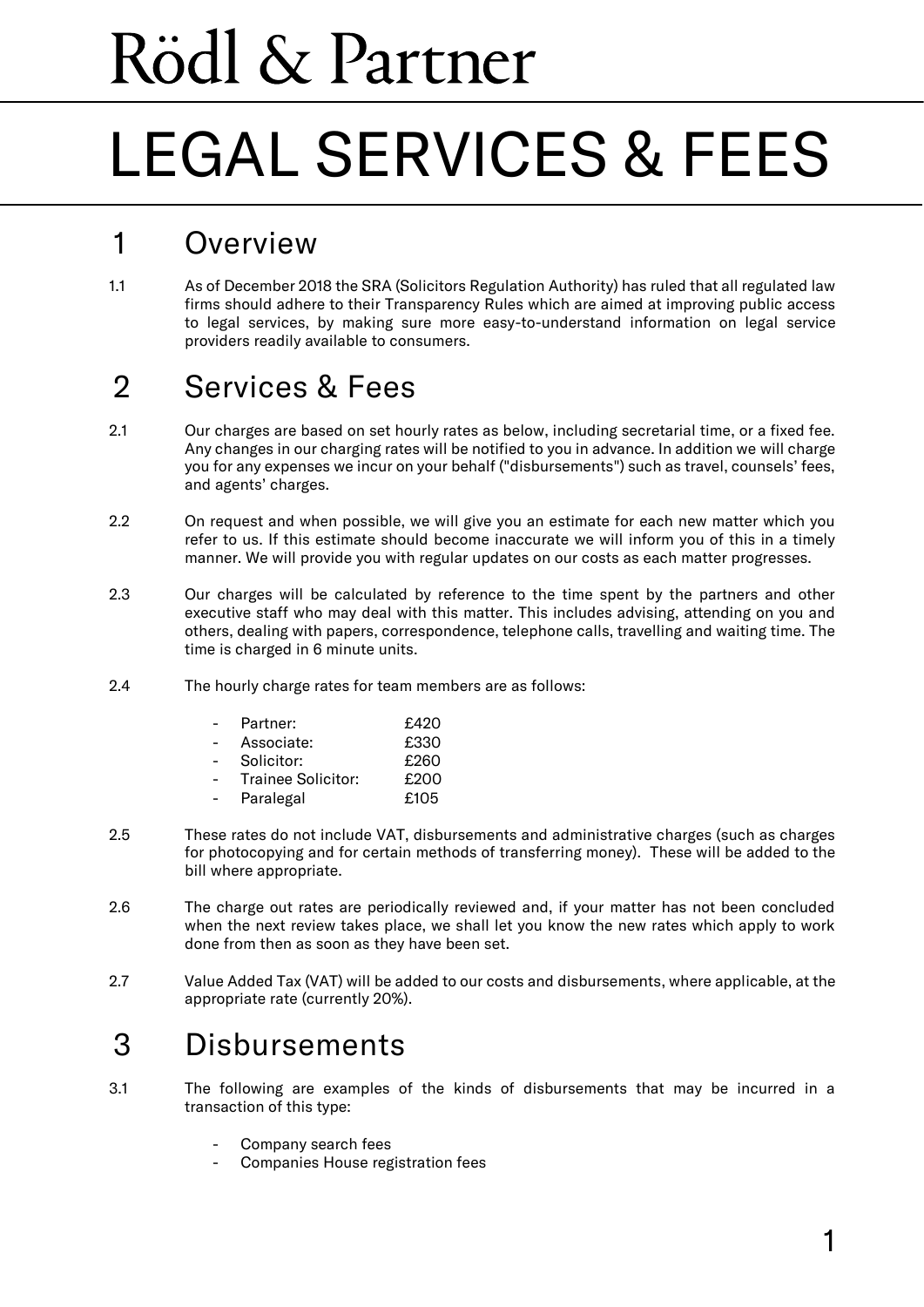# Rödl & Partner

## LEGAL SERVICES & FEES

### 1 Overview

1.1 As of December 2018 the SRA (Solicitors Regulation Authority) has ruled that all regulated law firms should adhere to their Transparency Rules which are aimed at improving public access to legal services, by making sure more easy-to-understand information on legal service providers readily available to consumers.

### 2 Services & Fees

- 2.1 Our charges are based on set hourly rates as below, including secretarial time, or a fixed fee. Any changes in our charging rates will be notified to you in advance. In addition we will charge you for any expenses we incur on your behalf ("disbursements") such as travel, counsels' fees, and agents' charges.
- 2.2 On request and when possible, we will give you an estimate for each new matter which you refer to us. If this estimate should become inaccurate we will inform you of this in a timely manner. We will provide you with regular updates on our costs as each matter progresses.
- 2.3 Our charges will be calculated by reference to the time spent by the partners and other executive staff who may deal with this matter. This includes advising, attending on you and others, dealing with papers, correspondence, telephone calls, travelling and waiting time. The time is charged in 6 minute units.
- 2.4 The hourly charge rates for team members are as follows:

| Partner:           | £420 |
|--------------------|------|
| Associate:         | £330 |
| Solicitor:         | £260 |
| Trainee Solicitor: | £200 |
| Paralegal          | £105 |

- 2.5 These rates do not include VAT, disbursements and administrative charges (such as charges for photocopying and for certain methods of transferring money). These will be added to the bill where appropriate.
- 2.6 The charge out rates are periodically reviewed and, if your matter has not been concluded when the next review takes place, we shall let you know the new rates which apply to work done from then as soon as they have been set.
- 2.7 Value Added Tax (VAT) will be added to our costs and disbursements, where applicable, at the appropriate rate (currently 20%).

#### 3 Disbursements

- 3.1 The following are examples of the kinds of disbursements that may be incurred in a transaction of this type:
	- Company search fees
	- Companies House registration fees